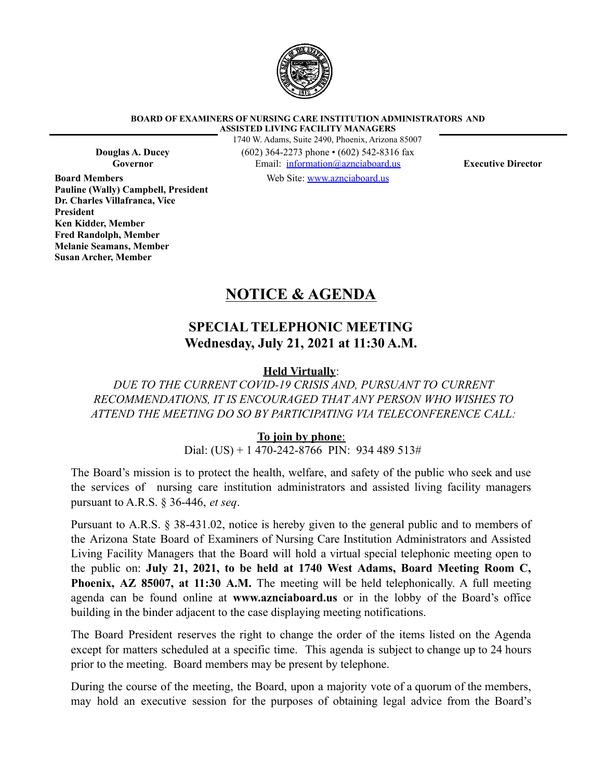

**BOARD OF EXAMINERS OF NURSING CARE INSTITUTION ADMINISTRATORS AND ASSISTED LIVING FACILITY MANAGERS**

**Board Members Pauline (Wally) Campbell, President Dr. Charles Villafranca, Vice President Ken Kidder, Member Fred Randolph, Member Melanie Seamans, Member Susan Archer, Member**

1740 W. Adams, Suite 2490, Phoenix, Arizona 85007 **Douglas A. Ducey** (602) 364-2273 phone • (602) 542-8316 fax **Governor** Email: [information@aznciaboard.us](mailto:information@aznciaboard.us) **Executive Director**

Web Site: [www.aznciaboard.us](http://www.aznciaboard.us)

# **NOTICE & AGENDA**

## **SPECIAL TELEPHONIC MEETING Wednesday, July 21, 2021 at 11:30 A.M.**

### **Held Virtually**:

*DUE TO THE CURRENT COVID-19 CRISIS AND, PURSUANT TO CURRENT RECOMMENDATIONS, IT IS ENCOURAGED THAT ANY PERSON WHO WISHES TO ATTEND THE MEETING DO SO BY PARTICIPATING VIA TELECONFERENCE CALL:*

### **To join by phone**:

Dial: (US) + 1  $\overline{470}$ -242-8766 PIN: 934 489 513#

The Board's mission is to protect the health, welfare, and safety of the public who seek and use the services of nursing care institution administrators and assisted living facility managers pursuant to A.R.S. § 36-446, *et seq*.

Pursuant to A.R.S. § 38-431.02, notice is hereby given to the general public and to members of the Arizona State Board of Examiners of Nursing Care Institution Administrators and Assisted Living Facility Managers that the Board will hold a virtual special telephonic meeting open to the public on: **July 21, 2021, to be held at 1740 West Adams, Board Meeting Room C, Phoenix, AZ 85007, at 11:30 A.M.** The meeting will be held telephonically. A full meeting agenda can be found online at **www.aznciaboard.us** or in the lobby of the Board's office building in the binder adjacent to the case displaying meeting notifications.

The Board President reserves the right to change the order of the items listed on the Agenda except for matters scheduled at a specific time. This agenda is subject to change up to 24 hours prior to the meeting. Board members may be present by telephone.

During the course of the meeting, the Board, upon a majority vote of a quorum of the members, may hold an executive session for the purposes of obtaining legal advice from the Board's